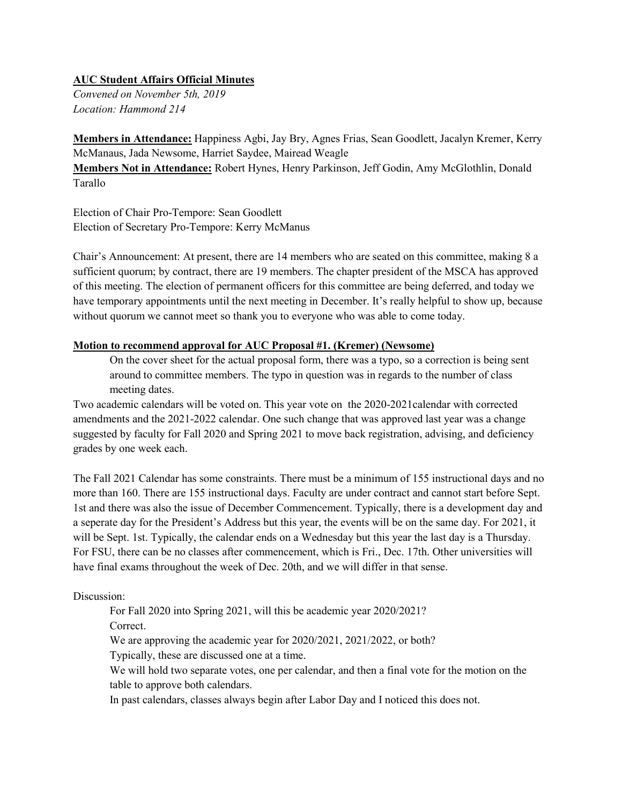## **AUC Student Affairs Official Minutes**

*Convened on November 5th, 2019 Location: Hammond 214*

**Members in Attendance:** Happiness Agbi, Jay Bry, Agnes Frias, Sean Goodlett, Jacalyn Kremer, Kerry McManaus, Jada Newsome, Harriet Saydee, Mairead Weagle

**Members Not in Attendance:** Robert Hynes, Henry Parkinson, Jeff Godin, Amy McGlothlin, Donald Tarallo

Election of Chair Pro-Tempore: Sean Goodlett Election of Secretary Pro-Tempore: Kerry McManus

Chair's Announcement: At present, there are 14 members who are seated on this committee, making 8 a sufficient quorum; by contract, there are 19 members. The chapter president of the MSCA has approved of this meeting. The election of permanent officers for this committee are being deferred, and today we have temporary appointments until the next meeting in December. It's really helpful to show up, because without quorum we cannot meet so thank you to everyone who was able to come today.

## **Motion to recommend approval for AUC Proposal #1. (Kremer) (Newsome)**

On the cover sheet for the actual proposal form, there was a typo, so a correction is being sent around to committee members. The typo in question was in regards to the number of class meeting dates.

Two academic calendars will be voted on. This year vote on the 2020-2021calendar with corrected amendments and the 2021-2022 calendar. One such change that was approved last year was a change suggested by faculty for Fall 2020 and Spring 2021 to move back registration, advising, and deficiency grades by one week each.

The Fall 2021 Calendar has some constraints. There must be a minimum of 155 instructional days and no more than 160. There are 155 instructional days. Faculty are under contract and cannot start before Sept. 1st and there was also the issue of December Commencement. Typically, there is a development day and a seperate day for the President's Address but this year, the events will be on the same day. For 2021, it will be Sept. 1st. Typically, the calendar ends on a Wednesday but this year the last day is a Thursday. For FSU, there can be no classes after commencement, which is Fri., Dec. 17th. Other universities will have final exams throughout the week of Dec. 20th, and we will differ in that sense.

## Discussion:

For Fall 2020 into Spring 2021, will this be academic year 2020/2021?

Correct.

We are approving the academic year for 2020/2021, 2021/2022, or both?

Typically, these are discussed one at a time.

We will hold two separate votes, one per calendar, and then a final vote for the motion on the table to approve both calendars.

In past calendars, classes always begin after Labor Day and I noticed this does not.